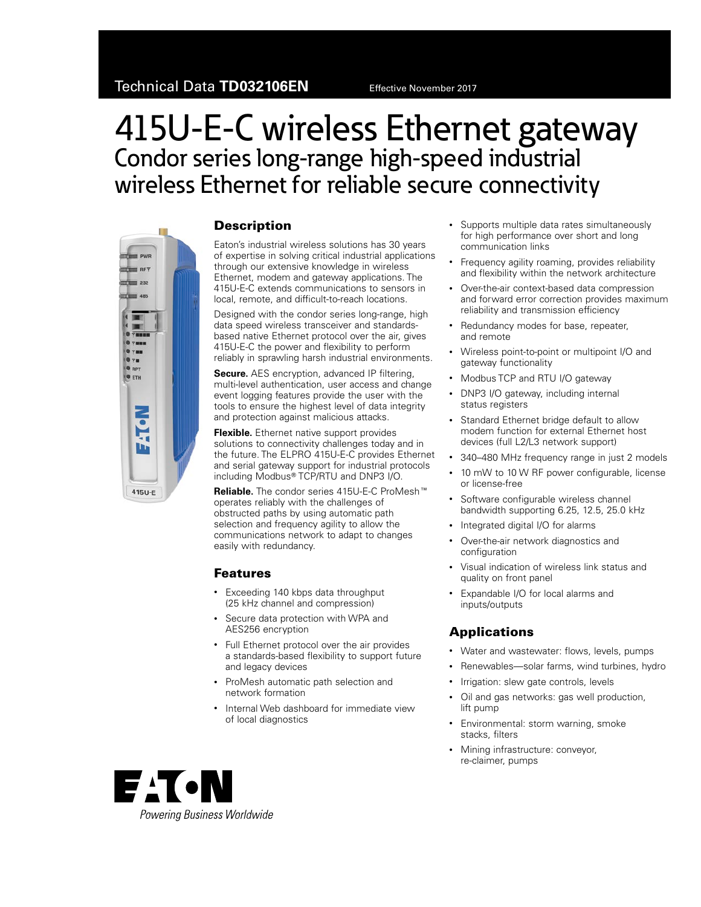# 415U-E-C wireless Ethernet gateway Condor series long-range high-speed industrial wireless Ethernet for reliable secure connectivity



#### **Description**

Eaton's industrial wireless solutions has 30 years of expertise in solving critical industrial applications through our extensive knowledge in wireless Ethernet, modem and gateway applications. The 415U-E-C extends communications to sensors in local, remote, and difficult-to-reach locations.

Designed with the condor series long-range, high data speed wireless transceiver and standardsbased native Ethernet protocol over the air, gives 415U-E-C the power and flexibility to perform reliably in sprawling harsh industrial environments.

**Secure.** AES encryption, advanced IP filtering, multi-level authentication, user access and change event logging features provide the user with the tools to ensure the highest level of data integrity and protection against malicious attacks.

**Flexible.** Ethernet native support provides solutions to connectivity challenges today and in the future. The ELPRO 415U-E-C provides Ethernet and serial gateway support for industrial protocols including Modbus<sup>®</sup> TCP/RTU and DNP3 I/O.

**Reliable.** The condor series 415U-E-C ProMesh<sup>™</sup> operates reliably with the challenges of obstructed paths by using automatic path selection and frequency agility to allow the communications network to adapt to changes easily with redundancy.

### Features

- Exceeding 140 kbps data throughput (25 kHz channel and compression)
- Secure data protection with WPA and AES256 encryption
- Full Ethernet protocol over the air provides a standards-based flexibility to support future and legacy devices
- ProMesh automatic path selection and network formation
- Internal Web dashboard for immediate view of local diagnostics
- Supports multiple data rates simultaneously for high performance over short and long communication links
- Frequency agility roaming, provides reliability and flexibility within the network architecture
- Over-the-air context-based data compression and forward error correction provides maximum reliability and transmission efficiency
- Redundancy modes for base, repeater, and remote
- Wireless point-to-point or multipoint I/O and gateway functionality
- Modbus TCP and RTU I/O gateway
- DNP3 I/O gateway, including internal status registers
- Standard Ethernet bridge default to allow modem function for external Ethernet host devices (full L2/L3 network support)
- 340–480 MHz frequency range in just 2 models
- 10 mW to 10 W RF power configurable, license or license-free
- Software configurable wireless channel bandwidth supporting 6.25, 12.5, 25.0 kHz
- Integrated digital I/O for alarms
- Over-the-air network diagnostics and configuration
- Visual indication of wireless link status and quality on front panel
- Expandable I/O for local alarms and inputs/outputs

## Applications

- Water and wastewater: flows, levels, pumps
- Renewables—solar farms, wind turbines, hydro
- Irrigation: slew gate controls, levels
- Oil and gas networks: gas well production, lift pump
- Environmental: storm warning, smoke stacks, filters
- Mining infrastructure: conveyor, re-claimer, pumps

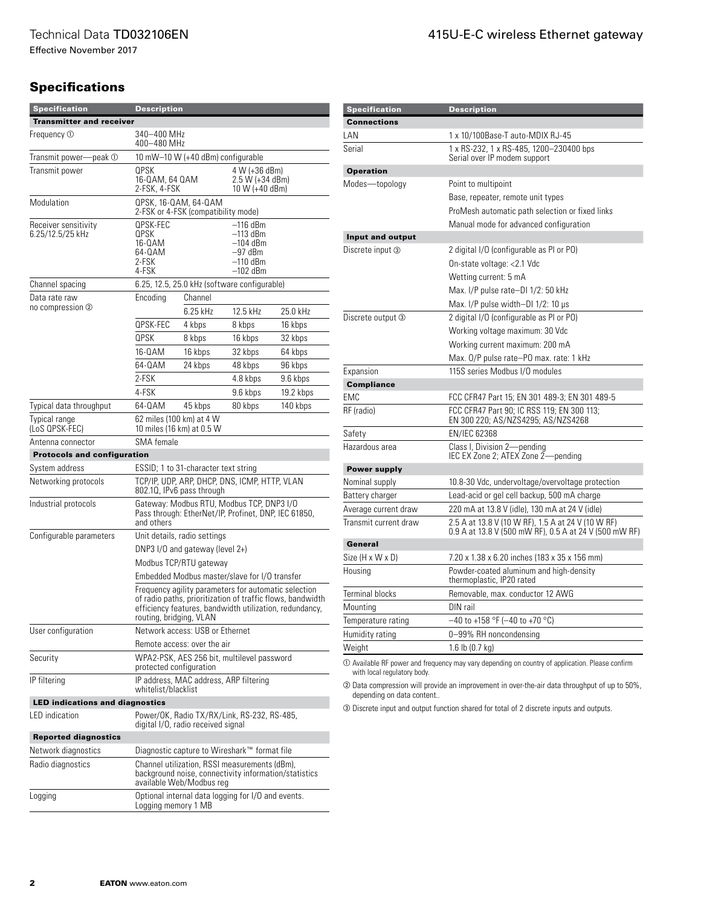Effective November 2017

## **Specifications**

| <b>Specification</b>                     | <b>Description</b>                                                                                                                                                                                       |                                                                                                   |                                                                             |                                                    |  |
|------------------------------------------|----------------------------------------------------------------------------------------------------------------------------------------------------------------------------------------------------------|---------------------------------------------------------------------------------------------------|-----------------------------------------------------------------------------|----------------------------------------------------|--|
| <b>Transmitter and receiver</b>          |                                                                                                                                                                                                          |                                                                                                   |                                                                             |                                                    |  |
| Frequency ①                              |                                                                                                                                                                                                          | 340–400 MHz<br>400-480 MHz                                                                        |                                                                             |                                                    |  |
| Transmit power-<br>peak ①                | 10 mW-10 W (+40 dBm) configurable                                                                                                                                                                        |                                                                                                   |                                                                             |                                                    |  |
| Transmit power                           | QPSK<br>16-QAM, 64 QAM<br>2-FSK, 4-FSK                                                                                                                                                                   |                                                                                                   |                                                                             | 4 W (+36 dBm)<br>2.5 W (+34 dBm)<br>10 W (+40 dBm) |  |
| Modulation                               | QPSK, 16-QAM, 64-QAM<br>2-FSK or 4-FSK (compatibility mode)                                                                                                                                              |                                                                                                   |                                                                             |                                                    |  |
| Receiver sensitivity<br>6.25/12.5/25 kHz | QPSK-FEC<br>QPSK<br>16-0AM<br>64-0AM<br>2-FSK<br>4-FSK                                                                                                                                                   |                                                                                                   | –116 dBm<br>$-113$ dBm<br>$-104$ dBm<br>$-97$ dBm<br>–110 dBm<br>$-102$ dBm |                                                    |  |
| Channel spacing                          |                                                                                                                                                                                                          | 6.25, 12.5, 25.0 kHz (software configurable)                                                      |                                                                             |                                                    |  |
| Data rate raw                            | Encoding                                                                                                                                                                                                 | Channel                                                                                           |                                                                             |                                                    |  |
| no compression ②                         |                                                                                                                                                                                                          | 6.25 kHz                                                                                          | 12.5 kHz                                                                    | 25.0 kHz                                           |  |
|                                          | OPSK-FEC                                                                                                                                                                                                 | 4 kbps                                                                                            | 8 kbps                                                                      | 16 kbps                                            |  |
|                                          | QPSK                                                                                                                                                                                                     | 8 kbps                                                                                            | 16 kbps                                                                     | 32 kbps                                            |  |
|                                          | 16-0AM                                                                                                                                                                                                   | 16 kbps                                                                                           | 32 kbps                                                                     | 64 kbps                                            |  |
|                                          | 64-0AM                                                                                                                                                                                                   | 24 kbps                                                                                           | 48 kbps                                                                     | 96 kbps                                            |  |
|                                          | 2-FSK                                                                                                                                                                                                    |                                                                                                   | 4.8 kbps                                                                    | 9.6 kbps                                           |  |
|                                          | 4-FSK                                                                                                                                                                                                    |                                                                                                   | 9.6 kbps                                                                    | 19.2 kbps                                          |  |
| Typical data throughput                  | 64-QAM                                                                                                                                                                                                   | 45 kbps                                                                                           | 80 kbps                                                                     | 140 kbps                                           |  |
| Typical range<br>(LoS QPSK-FEC)          |                                                                                                                                                                                                          | 62 miles (100 km) at 4 W<br>10 miles (16 km) at 0.5 W                                             |                                                                             |                                                    |  |
| Antenna connector                        | SMA female                                                                                                                                                                                               |                                                                                                   |                                                                             |                                                    |  |
| <b>Protocols and configuration</b>       |                                                                                                                                                                                                          |                                                                                                   |                                                                             |                                                    |  |
| System address                           |                                                                                                                                                                                                          | ESSID; 1 to 31-character text string                                                              |                                                                             |                                                    |  |
| Networking protocols                     |                                                                                                                                                                                                          | TCP/IP, UDP, ARP, DHCP, DNS, ICMP, HTTP, VLAN<br>802.10, IPv6 pass through                        |                                                                             |                                                    |  |
| Industrial protocols                     | and others                                                                                                                                                                                               | Gateway: Modbus RTU, Modbus TCP, DNP3 I/O<br>Pass through: EtherNet/IP, Profinet, DNP, IEC 61850, |                                                                             |                                                    |  |
| Configurable parameters                  | Unit details, radio settings                                                                                                                                                                             |                                                                                                   |                                                                             |                                                    |  |
|                                          | DNP3 I/O and gateway (level $2+$ )                                                                                                                                                                       |                                                                                                   |                                                                             |                                                    |  |
|                                          |                                                                                                                                                                                                          | Modbus TCP/RTU gateway                                                                            |                                                                             |                                                    |  |
|                                          |                                                                                                                                                                                                          | Embedded Modbus master/slave for I/O transfer                                                     |                                                                             |                                                    |  |
|                                          | Frequency agility parameters for automatic selection<br>of radio paths, prioritization of traffic flows, bandwidth<br>efficiency features, bandwidth utilization, redundancy,<br>routing, bridging, VLAN |                                                                                                   |                                                                             |                                                    |  |
| User configuration                       |                                                                                                                                                                                                          | Network access: USB or Ethernet                                                                   |                                                                             |                                                    |  |
|                                          | Remote access: over the air                                                                                                                                                                              |                                                                                                   |                                                                             |                                                    |  |
| Security                                 | WPA2-PSK, AES 256 bit, multilevel password<br>protected configuration                                                                                                                                    |                                                                                                   |                                                                             |                                                    |  |
| IP filtering                             | IP address, MAC address, ARP filtering<br>whitelist/blacklist                                                                                                                                            |                                                                                                   |                                                                             |                                                    |  |
| <b>LED indications and diagnostics</b>   |                                                                                                                                                                                                          |                                                                                                   |                                                                             |                                                    |  |
| <b>LED</b> indication                    |                                                                                                                                                                                                          | digital I/O, radio received signal                                                                | Power/OK, Radio TX/RX/Link, RS-232, RS-485,                                 |                                                    |  |
| <b>Reported diagnostics</b>              |                                                                                                                                                                                                          |                                                                                                   |                                                                             |                                                    |  |
| Network diagnostics                      |                                                                                                                                                                                                          | Diagnostic capture to Wireshark™ format file                                                      |                                                                             |                                                    |  |
| Radio diagnostics                        | Channel utilization, RSSI measurements (dBm),<br>background noise, connectivity information/statistics<br>available Web/Modbus reg                                                                       |                                                                                                   |                                                                             |                                                    |  |
| Logging                                  | Optional internal data logging for I/O and events.<br>Logging memory 1 MB                                                                                                                                |                                                                                                   |                                                                             |                                                    |  |

| <b>Specification</b>   | <b>Description</b>                                                                                           |
|------------------------|--------------------------------------------------------------------------------------------------------------|
| <b>Connections</b>     |                                                                                                              |
| LAN                    | 1 x 10/100Base-T auto-MDIX RJ-45                                                                             |
| Serial                 | 1 x RS-232, 1 x RS-485, 1200-230400 bps<br>Serial over IP modem support                                      |
| <b>Operation</b>       |                                                                                                              |
| Modes-topology         | Point to multipoint                                                                                          |
|                        | Base, repeater, remote unit types                                                                            |
|                        | ProMesh automatic path selection or fixed links                                                              |
|                        | Manual mode for advanced configuration                                                                       |
| Input and output       |                                                                                                              |
| Discrete input 3       | 2 digital I/O (configurable as PI or PO)                                                                     |
|                        | On-state voltage: <2.1 Vdc                                                                                   |
|                        | Wetting current: 5 mA                                                                                        |
|                        | Max. I/P pulse rate-DI 1/2: 50 kHz                                                                           |
|                        | Max. $I/P$ pulse width-DI $1/2$ : 10 $\mu$ s                                                                 |
| Discrete output 3      | 2 digital I/O (configurable as PI or PO)                                                                     |
|                        | Working voltage maximum: 30 Vdc                                                                              |
|                        | Working current maximum: 200 mA                                                                              |
|                        | Max. 0/P pulse rate-PO max. rate: 1 kHz                                                                      |
| Expansion              | 115S series Modbus I/O modules                                                                               |
| <b>Compliance</b>      |                                                                                                              |
| EMC                    | FCC CFR47 Part 15; EN 301 489-3; EN 301 489-5                                                                |
| RF (radio)             | FCC CFR47 Part 90; IC RSS 119; EN 300 113;<br>EN 300 220; AS/NZS4295; AS/NZS4268                             |
| Safety                 | <b>EN/IEC 62368</b>                                                                                          |
| Hazardous area         | Class I, Division 2-pending<br>IEC EX Zone 2; ATEX Zone 2-pending                                            |
| <b>Power supply</b>    |                                                                                                              |
| Nominal supply         | 10.8-30 Vdc, undervoltage/overvoltage protection                                                             |
| Battery charger        | Lead-acid or gel cell backup, 500 mA charge                                                                  |
| Average current draw   | 220 mA at 13.8 V (idle), 130 mA at 24 V (idle)                                                               |
| Transmit current draw  | 2.5 A at 13.8 V (10 W RF), 1.5 A at 24 V (10 W RF)<br>0.9 A at 13.8 V (500 mW RF), 0.5 A at 24 V (500 mW RF) |
| General                |                                                                                                              |
| Size (H x W x D)       | 7.20 x 1.38 x 6.20 inches (183 x 35 x 156 mm)                                                                |
| Housing                | Powder-coated aluminum and high-density<br>thermoplastic, IP20 rated                                         |
| <b>Terminal blocks</b> | Removable, max. conductor 12 AWG                                                                             |
| Mounting               | DIN rail                                                                                                     |
| Temperature rating     | $-40$ to +158 °F (-40 to +70 °C)                                                                             |
| Humidity rating        | 0-99% RH noncondensing                                                                                       |
| Weight                 | 1.6 lb $(0.7 \text{ kg})$                                                                                    |
|                        |                                                                                                              |

<span id="page-1-0"></span> $\mathbb O$  Available RF power and frequency may vary depending on country of application. Please confirm with local regulatory body.

<span id="page-1-1"></span> $\oslash$  Data compression will provide an improvement in over-the-air data throughput of up to 50%, depending on data content..

<span id="page-1-2"></span>**3** Discrete input and output function shared for total of 2 discrete inputs and outputs.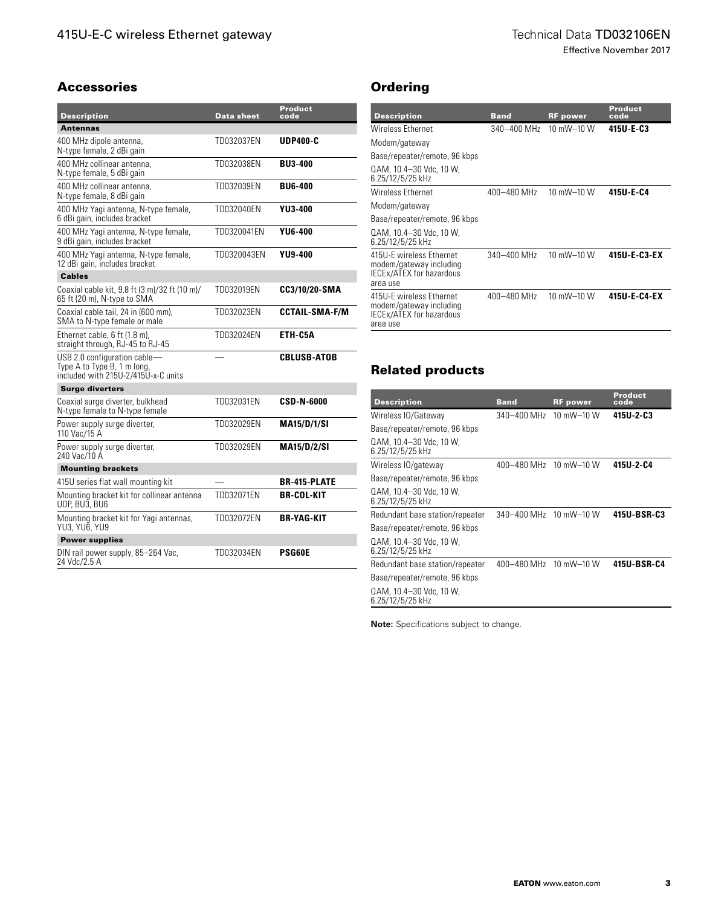Effective November 2017

#### Accessories

| <b>Description</b>                                                                                 | <b>Data sheet</b> | Product<br>code       |
|----------------------------------------------------------------------------------------------------|-------------------|-----------------------|
| <b>Antennas</b>                                                                                    |                   |                       |
| 400 MHz dipole antenna,<br>N-type female, 2 dBi gain                                               | TD032037EN        | <b>UDP400-C</b>       |
| 400 MHz collinear antenna.<br>N-type female, 5 dBi gain                                            | TD032038EN        | <b>BU3-400</b>        |
| 400 MHz collinear antenna.<br>N-type female, 8 dBi gain                                            | TD032039EN        | <b>BU6-400</b>        |
| 400 MHz Yagi antenna, N-type female,<br>6 dBi gain, includes bracket                               | TD032040EN        | YU3-400               |
| 400 MHz Yagi antenna, N-type female,<br>9 dBi gain, includes bracket                               | TD0320041EN       | <b>YU6-400</b>        |
| 400 MHz Yaqi antenna, N-type female,<br>12 dBi gain, includes bracket                              | TD0320043EN       | <b>YU9-400</b>        |
| <b>Cables</b>                                                                                      |                   |                       |
| Coaxial cable kit, 9.8 ft (3 m)/32 ft (10 m)/<br>65 ft (20 m), N-type to SMA                       | TD032019EN        | CC3/10/20-SMA         |
| Coaxial cable tail, 24 in (600 mm),<br>SMA to N-type female or male                                | TD032023EN        | <b>CCTAIL-SMA-F/M</b> |
| Ethernet cable, 6 ft (1.8 m),<br>straight through, RJ-45 to RJ-45                                  | TD032024EN        | ETH-C5A               |
| USB 2.0 configuration cable-<br>Type A to Type B, 1 m long,<br>included with 215U-2/415U-x-C units |                   | <b>CBLUSB-ATOB</b>    |
| <b>Surge diverters</b>                                                                             |                   |                       |
| Coaxial surge diverter, bulkhead<br>N-type female to N-type female                                 | TD032031EN        | CSD-N-6000            |
| Power supply surge diverter,<br>110 Vac/15 A                                                       | TD032029EN        | <b>MA15/D/1/SI</b>    |
| Power supply surge diverter,<br>240 Vac/10 A                                                       | TD032029EN        | <b>MA15/D/2/SI</b>    |
| <b>Mounting brackets</b>                                                                           |                   |                       |
| 415U series flat wall mounting kit                                                                 |                   | <b>BR-415-PLATE</b>   |
| Mounting bracket kit for collinear antenna<br>UDP, BU3, BU6                                        | TD032071EN        | BR-COL-KIT            |
| Mounting bracket kit for Yagi antennas,<br>YU3, YU6, YU9                                           | TD032072EN        | BR-YAG-KIT            |
| <b>Power supplies</b>                                                                              |                   |                       |
| DIN rail power supply, 85-264 Vac,<br>24 Vdc/2.5 A                                                 | TD032034EN        | <b>PSG60E</b>         |

## **Ordering**

| <b>Description</b>                                                                          | <b>Band</b> | <b>RF</b> power | Product<br>code |
|---------------------------------------------------------------------------------------------|-------------|-----------------|-----------------|
| Wireless Ethernet                                                                           | 340-400 MHz | 10 $mW - 10$ W  | 415U-E-C3       |
| Modem/gateway                                                                               |             |                 |                 |
| Base/repeater/remote, 96 kbps                                                               |             |                 |                 |
| QAM, 10.4-30 Vdc, 10 W.<br>6.25/12/5/25 kHz                                                 |             |                 |                 |
| <b>Wireless Ethernet</b>                                                                    | 400-480 MHz | 10 mW-10 W      | 415U-E-C4       |
| Modem/gateway                                                                               |             |                 |                 |
| Base/repeater/remote, 96 kbps                                                               |             |                 |                 |
| QAM. 10.4–30 Vdc. 10 W.<br>6.25/12/5/25 kHz                                                 |             |                 |                 |
| 415U-E wireless Ethernet<br>modem/gateway including<br>IECEx/ATEX for hazardous<br>area use | 340-400 MHz | 10 mW-10 W      | 415U-E-C3-EX    |
| 415U-E wireless Ethernet<br>modem/gateway including<br>IECEx/ATEX for hazardous<br>area use | 400-480 MHz | 10 mW-10 W      | 415U-E-C4-EX    |

# Related products

| <b>Band</b> | <b>RF</b> power | <b>Product</b><br>code                   |
|-------------|-----------------|------------------------------------------|
| 340–400 MHz | 10 mW-10 W      | 415U-2-C3                                |
|             |                 |                                          |
|             |                 |                                          |
|             | 10 mW $-$ 10 W  | 415U-2-C4                                |
|             |                 |                                          |
|             |                 |                                          |
| 340-400 MHz |                 | 415U-BSR-C3                              |
|             |                 |                                          |
|             |                 |                                          |
|             | 10 mW-10 W      | 415U-BSR-C4                              |
|             |                 |                                          |
|             |                 |                                          |
|             |                 | 400–480 MHz<br>10 mW-10 W<br>400–480 MHz |

**Note:** Specifications subject to change.